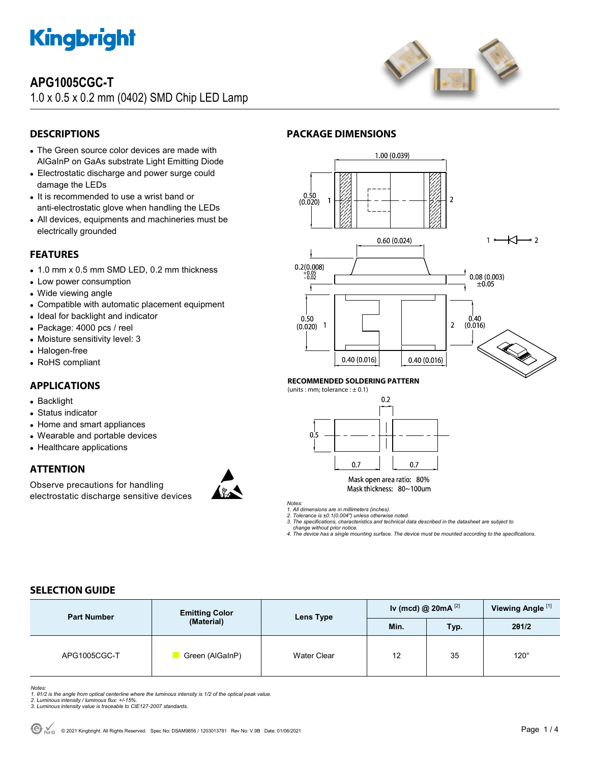

## **APG1005CGC-T**

1.0 x 0.5 x 0.2 mm (0402) SMD Chip LED Lamp



## **DESCRIPTIONS**

- The Green source color devices are made with AlGaInP on GaAs substrate Light Emitting Diode
- Electrostatic discharge and power surge could damage the LEDs
- It is recommended to use a wrist band or anti-electrostatic glove when handling the LEDs
- All devices, equipments and machineries must be electrically grounded

#### **FEATURES**

- 1.0 mm x 0.5 mm SMD LED, 0.2 mm thickness
- Low power consumption
- Wide viewing angle
- Compatible with automatic placement equipment
- Ideal for backlight and indicator
- Package: 4000 pcs / reel
- Moisture sensitivity level: 3
- Halogen-free
- RoHS compliant

### **APPLICATIONS**

- Backlight
- Status indicator
- Home and smart appliances
- Wearable and portable devices
- Healthcare applications

### **ATTENTION**

Observe precautions for handling electrostatic discharge sensitive devices



### **PACKAGE DIMENSIONS**



#### **RECOMMENDED SOLDERING PATTERN**

(units : mm; tolerance :  $\pm$  0.1)



Mask open area ratio: 80% Mask thickness: 80~100um

*Notes:* 

*1. All dimensions are in millimeters (inches).* 

*2. Tolerance is ±0.1(0.004") unless otherwise noted.* 

*3. The specifications, characteristics and technical data described in the datasheet are subject to change without prior notice.* 

*4. The device has a single mounting surface. The device must be mounted according to the specifications.* 

## **SELECTION GUIDE**

| <b>Part Number</b> | <b>Emitting Color</b><br>(Material) | Lens Type          | Iv (mcd) @ $20mA^{[2]}$ |      | Viewing Angle <sup>[1]</sup> |
|--------------------|-------------------------------------|--------------------|-------------------------|------|------------------------------|
|                    |                                     |                    | Min.                    | Typ. | 201/2                        |
| APG1005CGC-T       | Green (AlGaInP)                     | <b>Water Clear</b> | 12                      | 35   | $120^\circ$                  |

Notes:<br>1. 81/2 is the angle from optical centerline where the luminous intensity is 1/2 of the optical peak value.<br>2. Luminous intensity / luminous flux: +/-15%.<br>3. Luminous intensity value is traceable to CIE127-2007 stan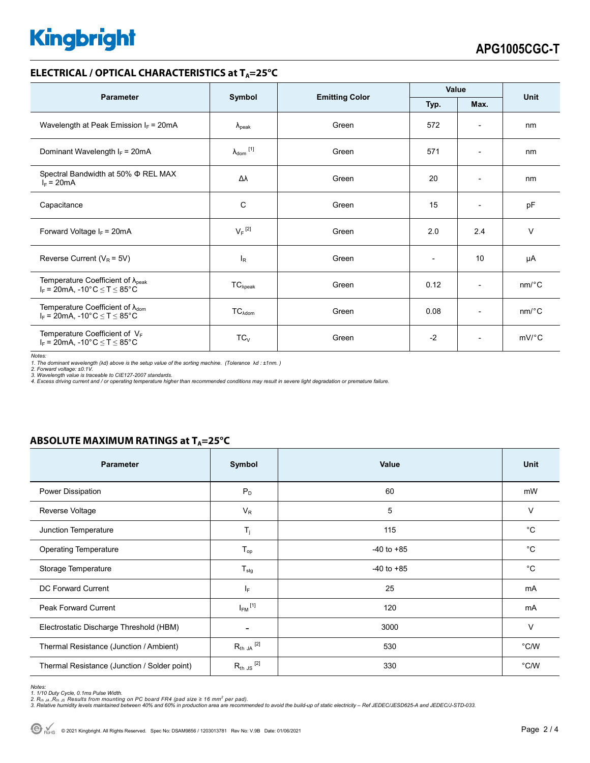# **Kingbright**

#### **ELECTRICAL / OPTICAL CHARACTERISTICS at T<sub>A</sub>=25°C**

| <b>Parameter</b>                                                                                               |                              |                       | Value                    |                              | <b>Unit</b>           |
|----------------------------------------------------------------------------------------------------------------|------------------------------|-----------------------|--------------------------|------------------------------|-----------------------|
|                                                                                                                | Symbol                       | <b>Emitting Color</b> | Typ.<br>Max.             |                              |                       |
| Wavelength at Peak Emission $I_F$ = 20mA                                                                       | $\lambda_{\rm peak}$         | Green                 | 572                      | $\qquad \qquad \blacksquare$ | nm                    |
| Dominant Wavelength $I_F = 20 \text{mA}$                                                                       | $\lambda_{\mathsf{dom}}$ [1] | Green                 | 571                      | $\overline{\phantom{a}}$     | nm                    |
| Spectral Bandwidth at 50% $\Phi$ REL MAX<br>$I_F = 20mA$                                                       | Δλ                           | Green                 | 20                       | $\overline{a}$               | nm                    |
| Capacitance                                                                                                    | C                            | Green                 | 15                       | $\qquad \qquad \blacksquare$ | pF                    |
| Forward Voltage $I_F = 20mA$                                                                                   | $V_F$ <sup>[2]</sup>         | Green                 | 2.0                      | 2.4                          | $\vee$                |
| Reverse Current ( $V_R$ = 5V)                                                                                  | <sup>I</sup> R               | Green                 | $\overline{\phantom{0}}$ | 10                           | μA                    |
| Temperature Coefficient of $\lambda_{peak}$<br>$I_F$ = 20mA, -10°C $\le T \le 85$ °C                           | $TC_{\lambda peak}$          | Green                 | 0.12                     | $\overline{\phantom{a}}$     | $nm$ <sup>o</sup> $C$ |
| Temperature Coefficient of $\lambda_{\text{dom}}$<br>$I_F$ = 20mA, -10°C $\leq T \leq 85$ °C                   | $TC_{\lambda dom}$           | Green                 | 0.08                     | $\overline{\phantom{a}}$     | $nm$ <sup>o</sup> $C$ |
| Temperature Coefficient of $V_F$<br>$I_F = 20 \text{mA}, -10^{\circ} \text{C} \leq T \leq 85^{\circ} \text{C}$ | $TC_{V}$                     | Green                 | $-2$                     | $\overline{\phantom{a}}$     | $mV$ °C               |

*Notes:* 

1. The dominant wavelength (λd) above is the setup value of the sorting machine. (Tolerance λd : ±1nm. )<br>2. Forward voltage: ±0.1V.<br>3. Wavelength value is traceable to CIE127-2007 standards.<br>4. Excess driving current and

#### **ABSOLUTE MAXIMUM RATINGS at T<sub>A</sub>=25°C**

| <b>Parameter</b>                             | Symbol                  | <b>Value</b>   | <b>Unit</b>    |
|----------------------------------------------|-------------------------|----------------|----------------|
| Power Dissipation                            | $P_D$                   | 60             | mW             |
| Reverse Voltage                              | $V_R$                   | 5              | V              |
| Junction Temperature                         | $T_{j}$                 | 115            | $^{\circ}C$    |
| <b>Operating Temperature</b>                 | $T_{op}$                | $-40$ to $+85$ | $^{\circ}C$    |
| Storage Temperature                          | $T_{\text{stg}}$        | $-40$ to $+85$ | °C             |
| DC Forward Current                           | $I_F$                   | 25             | mA             |
| <b>Peak Forward Current</b>                  | $I_{FM}$ <sup>[1]</sup> | 120            | mA             |
| Electrostatic Discharge Threshold (HBM)      |                         | 3000           | $\vee$         |
| Thermal Resistance (Junction / Ambient)      | $R_{th}$ JA $^{[2]}$    | 530            | °C/W           |
| Thermal Resistance (Junction / Solder point) | $R_{th}$ JS $^{[2]}$    | 330            | $^{\circ}$ C/W |

Notes:<br>1. 1/10 Duty Cycle, 0.1ms Pulse Width.<br>2. R<sub>th JA</sub> ,R<sub>th JS</sub> Results from mounting on PC board FR4 (pad size ≥ 16 mm<sup>2</sup> per pad).<br>3. Relative humidity levels maintained between 40% and 60% in production area are re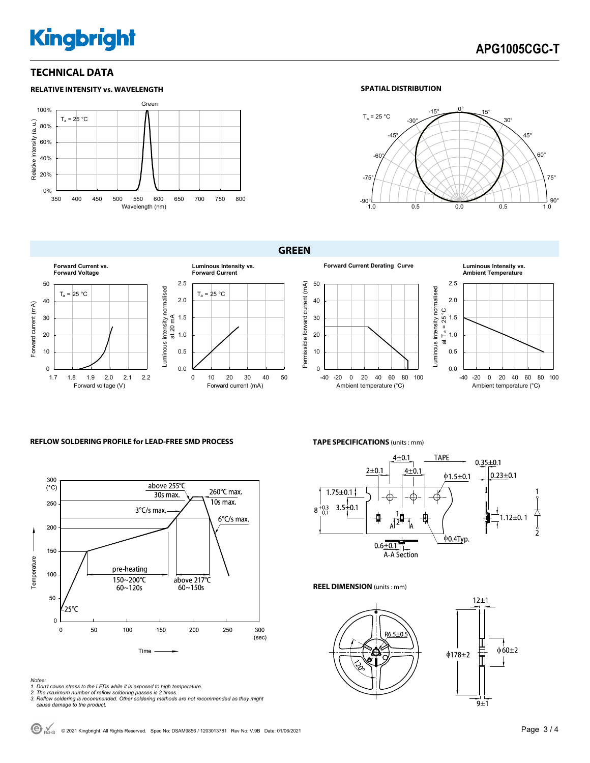# **Kingbright**

#### **TECHNICAL DATA**



#### **SPATIAL DISTRIBUTION**



**GREEN** 



#### **REFLOW SOLDERING PROFILE for LEAD-FREE SMD PROCESS <b>TAPE SPECIFICATIONS** (units : mm)



- *Notes: 1. Don't cause stress to the LEDs while it is exposed to high temperature. 2. The maximum number of reflow soldering passes is 2 times.*
- 
- *3. Reflow soldering is recommended. Other soldering methods are not recommended as they might cause damage to the product.*



**REEL DIMENSION** (units : mm)